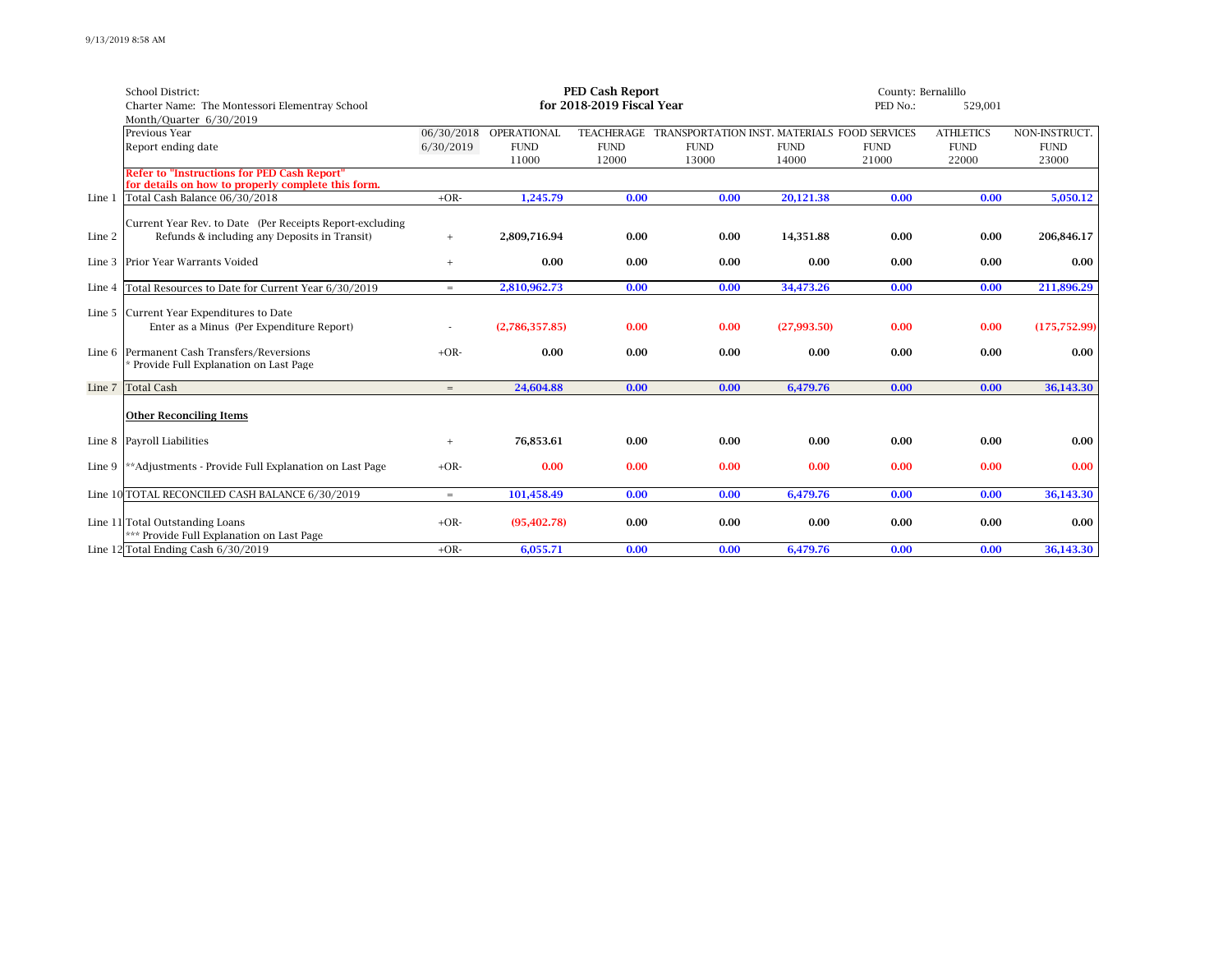|        | School District:                                                                    | <b>PED Cash Report</b>    |                |             |                                                         | County: Bernalillo |             |                  |               |  |
|--------|-------------------------------------------------------------------------------------|---------------------------|----------------|-------------|---------------------------------------------------------|--------------------|-------------|------------------|---------------|--|
|        | Charter Name: The Montessori Elementray School                                      | for 2018-2019 Fiscal Year |                |             |                                                         |                    | 529,001     |                  |               |  |
|        | Month/Quarter 6/30/2019                                                             |                           |                |             |                                                         |                    |             |                  |               |  |
|        | Previous Year                                                                       | 06/30/2018                | OPERATIONAL    |             | TEACHERAGE TRANSPORTATION INST. MATERIALS FOOD SERVICES |                    |             | <b>ATHLETICS</b> | NON-INSTRUCT. |  |
|        | Report ending date                                                                  | 6/30/2019                 | <b>FUND</b>    | <b>FUND</b> | <b>FUND</b>                                             | <b>FUND</b>        | <b>FUND</b> | <b>FUND</b>      | <b>FUND</b>   |  |
|        |                                                                                     |                           | 11000          | 12000       | 13000                                                   | 14000              | 21000       | 22000            | 23000         |  |
|        | <b>Refer to "Instructions for PED Cash Report"</b>                                  |                           |                |             |                                                         |                    |             |                  |               |  |
| Line 1 | for details on how to properly complete this form.<br>Total Cash Balance 06/30/2018 | $+OR-$                    | 1,245.79       | 0.00        | 0.00                                                    | 20,121.38          | 0.00        | 0.00             | 5,050.12      |  |
|        |                                                                                     |                           |                |             |                                                         |                    |             |                  |               |  |
|        | Current Year Rev. to Date (Per Receipts Report-excluding                            |                           |                |             |                                                         |                    |             |                  |               |  |
| Line 2 | Refunds & including any Deposits in Transit)                                        |                           | 2,809,716.94   | 0.00        | 0.00                                                    | 14,351.88          | 0.00        | 0.00             | 206,846.17    |  |
|        |                                                                                     | $+$                       |                |             |                                                         |                    |             |                  |               |  |
|        | Line 3 Prior Year Warrants Voided                                                   | $^{+}$                    | 0.00           | 0.00        | 0.00                                                    | 0.00               | 0.00        | 0.00             | 0.00          |  |
|        |                                                                                     |                           |                |             |                                                         |                    |             |                  |               |  |
| Line 4 | Total Resources to Date for Current Year 6/30/2019                                  | $=$                       | 2.810.962.73   | 0.00        | 0.00                                                    | 34.473.26          | 0.00        | 0.00             | 211.896.29    |  |
|        |                                                                                     |                           |                |             |                                                         |                    |             |                  |               |  |
|        | Line 5 Current Year Expenditures to Date                                            |                           |                |             |                                                         |                    |             |                  |               |  |
|        | Enter as a Minus (Per Expenditure Report)                                           |                           | (2,786,357.85) | 0.00        | 0.00                                                    | (27,993.50)        | 0.00        | 0.00             | (175, 752.99) |  |
|        | Line 6 Permanent Cash Transfers/Reversions                                          | $+OR-$                    | 0.00           | 0.00        | 0.00                                                    | 0.00               | 0.00        | 0.00             | 0.00          |  |
|        | Provide Full Explanation on Last Page                                               |                           |                |             |                                                         |                    |             |                  |               |  |
|        |                                                                                     |                           |                |             |                                                         |                    |             |                  |               |  |
|        | Line 7 Total Cash                                                                   | $=$                       | 24,604.88      | 0.00        | 0.00                                                    | 6,479.76           | 0.00        | 0.00             | 36,143.30     |  |
|        | <b>Other Reconciling Items</b>                                                      |                           |                |             |                                                         |                    |             |                  |               |  |
|        |                                                                                     |                           |                |             |                                                         |                    |             |                  |               |  |
|        | Line 8 Payroll Liabilities                                                          | $+$                       | 76.853.61      | 0.00        | 0.00                                                    | 0.00               | 0.00        | 0.00             | 0.00          |  |
|        |                                                                                     |                           |                |             |                                                         |                    |             |                  |               |  |
|        | Line 9 ** Adjustments - Provide Full Explanation on Last Page                       | $+OR-$                    | 0.00           | 0.00        | 0.00                                                    | 0.00               | 0.00        | 0.00             | 0.00          |  |
|        |                                                                                     |                           |                |             |                                                         |                    |             |                  |               |  |
|        | Line 10 TOTAL RECONCILED CASH BALANCE 6/30/2019                                     | $=$                       | 101,458.49     | 0.00        | 0.00                                                    | 6,479.76           | 0.00        | 0.00             | 36,143.30     |  |
|        |                                                                                     |                           |                |             |                                                         |                    |             |                  |               |  |
|        | Line 11 Total Outstanding Loans                                                     | $+OR-$                    | (95, 402.78)   | 0.00        | 0.00                                                    | 0.00               | 0.00        | 0.00             | 0.00          |  |
|        | *** Provide Full Explanation on Last Page                                           |                           |                |             |                                                         |                    |             |                  |               |  |
|        | Line 12 Total Ending Cash 6/30/2019                                                 | $+OR-$                    | 6.055.71       | 0.00        | 0.00                                                    | 6.479.76           | 0.00        | 0.00             | 36.143.30     |  |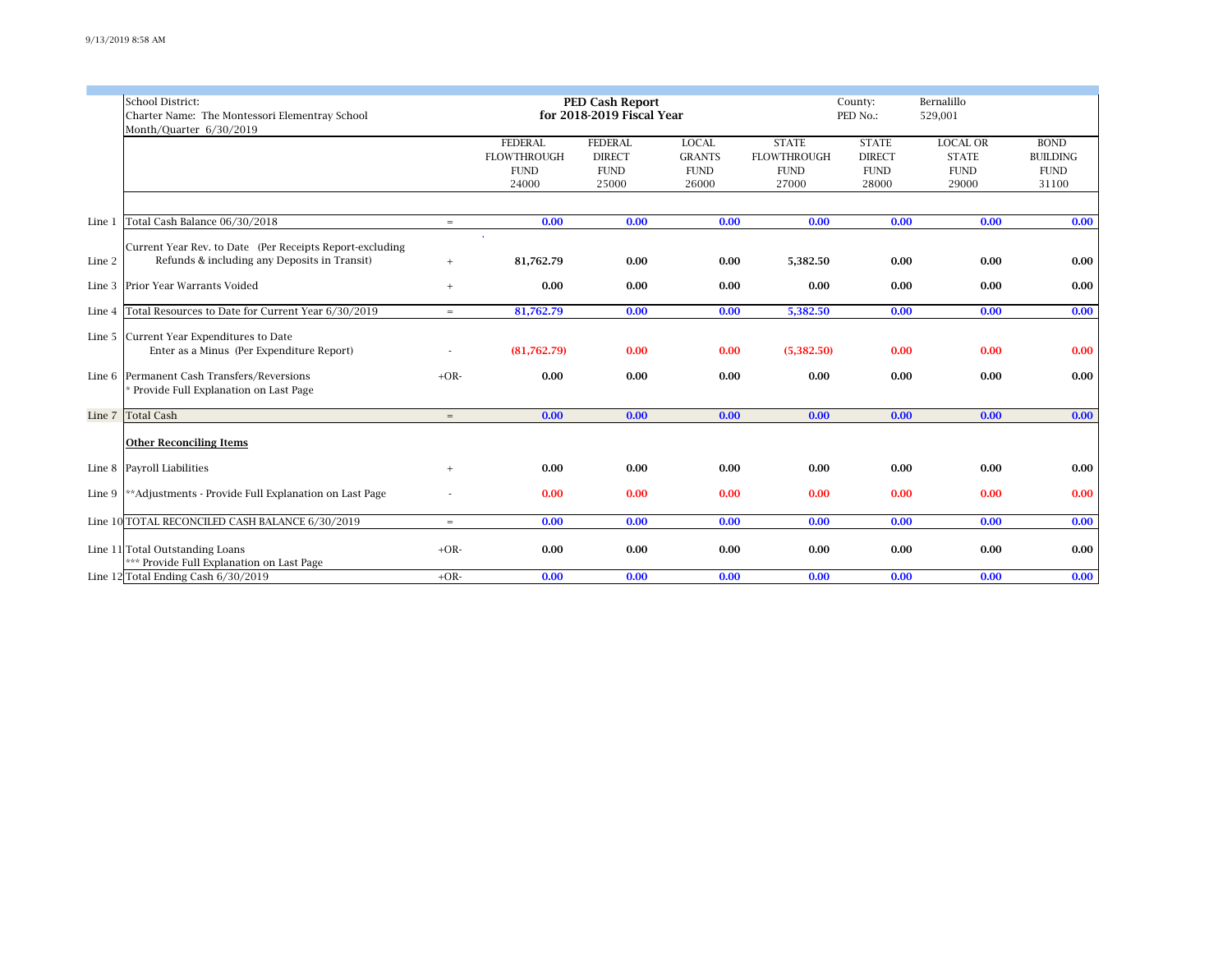|        | School District:<br>Charter Name: The Montessori Elementray School<br>Month/Quarter 6/30/2019            |        | <b>PED Cash Report</b><br>for 2018-2019 Fiscal Year          |                                                         |                                                       |                                                            | County:<br>PED No.:                                   |                                                         |                                                                         |
|--------|----------------------------------------------------------------------------------------------------------|--------|--------------------------------------------------------------|---------------------------------------------------------|-------------------------------------------------------|------------------------------------------------------------|-------------------------------------------------------|---------------------------------------------------------|-------------------------------------------------------------------------|
|        |                                                                                                          |        | <b>FEDERAL</b><br><b>FLOWTHROUGH</b><br><b>FUND</b><br>24000 | <b>FEDERAL</b><br><b>DIRECT</b><br><b>FUND</b><br>25000 | <b>LOCAL</b><br><b>GRANTS</b><br><b>FUND</b><br>26000 | <b>STATE</b><br><b>FLOWTHROUGH</b><br><b>FUND</b><br>27000 | <b>STATE</b><br><b>DIRECT</b><br><b>FUND</b><br>28000 | <b>LOCAL OR</b><br><b>STATE</b><br><b>FUND</b><br>29000 | <b>BOND</b><br><b>BUILDING</b><br>$\ensuremath{\mathrm{FUND}}$<br>31100 |
| Line 1 | Total Cash Balance 06/30/2018                                                                            | $=$    | 0.00                                                         | 0.00                                                    | 0.00                                                  | 0.00                                                       | 0.00                                                  | 0.00                                                    | 0.00                                                                    |
| Line 2 | Current Year Rev. to Date (Per Receipts Report-excluding<br>Refunds & including any Deposits in Transit) | $^{+}$ | 81,762.79                                                    | 0.00                                                    | 0.00                                                  | 5,382.50                                                   | 0.00                                                  | 0.00                                                    | 0.00                                                                    |
| Line 3 | Prior Year Warrants Voided                                                                               | $+$    | 0.00                                                         | 0.00                                                    | 0.00                                                  | 0.00                                                       | 0.00                                                  | 0.00                                                    | 0.00                                                                    |
| Line 4 | Total Resources to Date for Current Year 6/30/2019                                                       | $=$    | 81,762.79                                                    | 0.00                                                    | 0.00                                                  | 5,382.50                                                   | 0.00                                                  | 0.00                                                    | 0.00                                                                    |
|        | Line 5 Current Year Expenditures to Date<br>Enter as a Minus (Per Expenditure Report)                    |        | (81,762.79)                                                  | 0.00                                                    | 0.00                                                  | (5,382.50)                                                 | 0.00                                                  | 0.00                                                    | 0.00                                                                    |
|        | Line 6 Permanent Cash Transfers/Reversions<br>Provide Full Explanation on Last Page                      | $+OR-$ | 0.00                                                         | 0.00                                                    | 0.00                                                  | 0.00                                                       | 0.00                                                  | 0.00                                                    | 0.00                                                                    |
|        | Line 7 Total Cash                                                                                        | $=$    | 0.00                                                         | 0.00                                                    | 0.00                                                  | 0.00                                                       | 0.00                                                  | 0.00                                                    | 0.00                                                                    |
|        | <b>Other Reconciling Items</b>                                                                           |        |                                                              |                                                         |                                                       |                                                            |                                                       |                                                         |                                                                         |
|        | Line 8 Payroll Liabilities                                                                               | $+$    | 0.00                                                         | 0.00                                                    | 0.00                                                  | 0.00                                                       | 0.00                                                  | 0.00                                                    | 0.00                                                                    |
| Line 9 | **Adjustments - Provide Full Explanation on Last Page                                                    |        | 0.00                                                         | 0.00                                                    | 0.00                                                  | 0.00                                                       | 0.00                                                  | 0.00                                                    | 0.00                                                                    |
|        | Line 10 TOTAL RECONCILED CASH BALANCE 6/30/2019                                                          | $=$    | 0.00                                                         | 0.00                                                    | 0.00                                                  | 0.00                                                       | 0.00                                                  | 0.00                                                    | 0.00                                                                    |
|        | Line 11 Total Outstanding Loans<br>*** Provide Full Explanation on Last Page                             | $+OR-$ | 0.00                                                         | 0.00                                                    | 0.00                                                  | 0.00                                                       | 0.00                                                  | 0.00                                                    | 0.00                                                                    |
|        | Line 12 Total Ending Cash 6/30/2019                                                                      | $+OR-$ | 0.00                                                         | 0.00                                                    | 0.00                                                  | 0.00                                                       | 0.00                                                  | 0.00                                                    | 0.00                                                                    |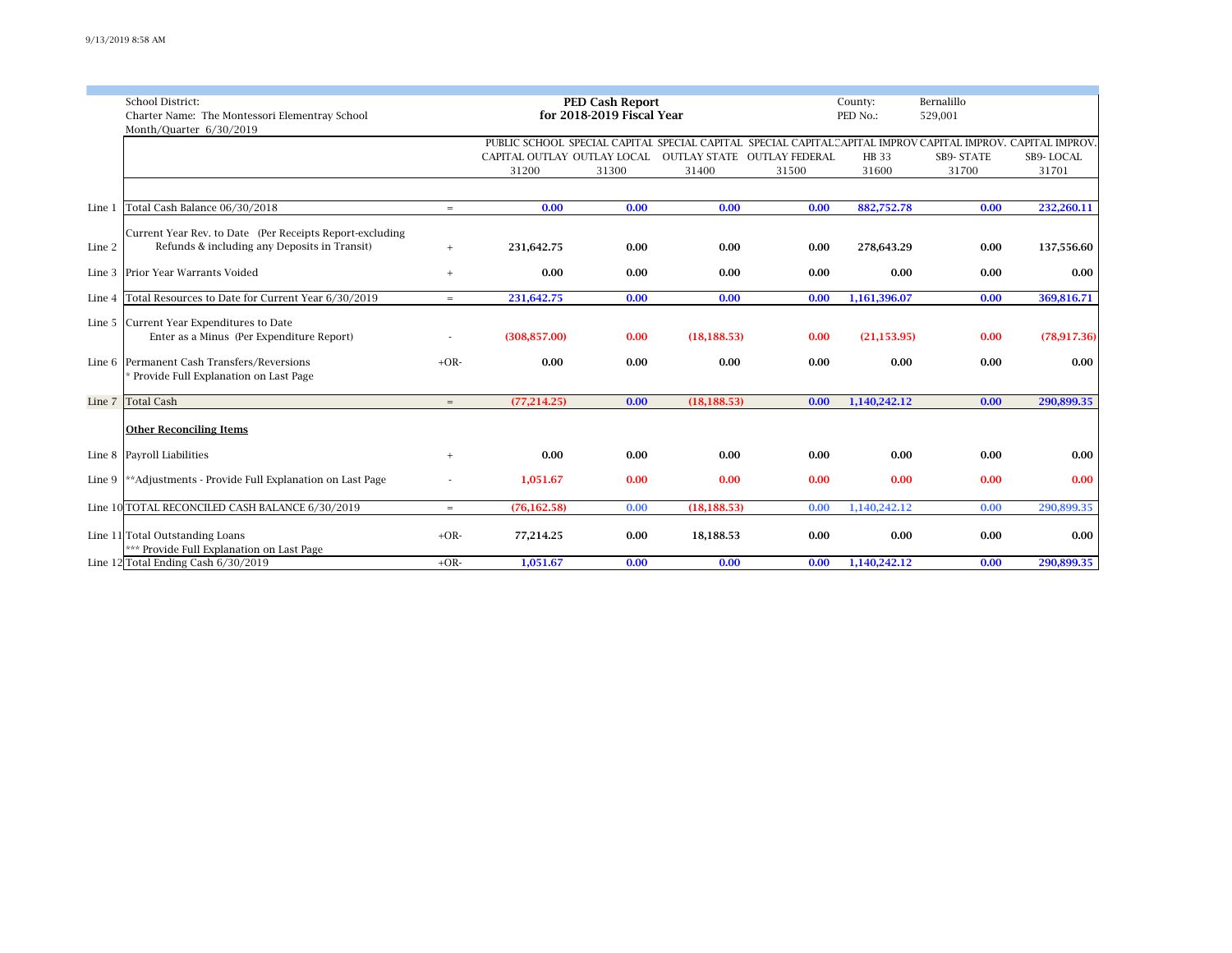|        | School District:<br>Charter Name: The Montessori Elementray School<br>Month/Ouarter 6/30/2019            |          |               | <b>PED Cash Report</b><br>for 2018-2019 Fiscal Year | County:<br>PED No.: | Bernalillo<br>529,001                                                                                                                                                              |                |                     |                    |
|--------|----------------------------------------------------------------------------------------------------------|----------|---------------|-----------------------------------------------------|---------------------|------------------------------------------------------------------------------------------------------------------------------------------------------------------------------------|----------------|---------------------|--------------------|
|        |                                                                                                          |          | 31200         | 31300                                               | 31400               | PUBLIC SCHOOL SPECIAL CAPITAL SPECIAL CAPITAL SPECIAL CAPITAL CAPITAL IMPROV CAPITAL IMPROV. CAPITAL IMPROV.<br>CAPITAL OUTLAY OUTLAY LOCAL  OUTLAY STATE  OUTLAY FEDERAL<br>31500 | HB 33<br>31600 | SB9- STATE<br>31700 | SB9-LOCAL<br>31701 |
|        |                                                                                                          |          |               |                                                     |                     |                                                                                                                                                                                    |                |                     |                    |
| Line 1 | Total Cash Balance 06/30/2018                                                                            | $=$      | 0.00          | 0.00                                                | 0.00                | 0.00                                                                                                                                                                               | 882,752.78     | 0.00                | 232,260.11         |
| Line 2 | Current Year Rev. to Date (Per Receipts Report-excluding<br>Refunds & including any Deposits in Transit) | $+$      | 231,642.75    | 0.00                                                | 0.00                | 0.00                                                                                                                                                                               | 278,643.29     | 0.00                | 137,556.60         |
| Line 3 | Prior Year Warrants Voided                                                                               | $+$      | 0.00          | 0.00                                                | 0.00                | 0.00                                                                                                                                                                               | 0.00           | 0.00                | 0.00               |
| Line 4 | Total Resources to Date for Current Year 6/30/2019                                                       | $=$ $\,$ | 231,642.75    | 0.00                                                | 0.00                | 0.00                                                                                                                                                                               | 1,161,396.07   | 0.00                | 369,816.71         |
|        | Line 5 Current Year Expenditures to Date<br>Enter as a Minus (Per Expenditure Report)                    |          | (308, 857.00) | 0.00                                                | (18, 188.53)        | 0.00                                                                                                                                                                               | (21, 153.95)   | 0.00                | (78,917,36)        |
|        | Line 6 Permanent Cash Transfers/Reversions<br>Provide Full Explanation on Last Page                      | $+OR-$   | 0.00          | 0.00                                                | 0.00                | 0.00                                                                                                                                                                               | 0.00           | 0.00                | 0.00               |
| Line 7 | <b>Total Cash</b>                                                                                        | $=$      | (77, 214.25)  | 0.00                                                | (18, 188.53)        | 0.00                                                                                                                                                                               | 1,140,242.12   | 0.00                | 290,899.35         |
|        | <b>Other Reconciling Items</b>                                                                           |          |               |                                                     |                     |                                                                                                                                                                                    |                |                     |                    |
| Line 8 | Payroll Liabilities                                                                                      | $+$      | 0.00          | 0.00                                                | 0.00                | 0.00                                                                                                                                                                               | 0.00           | 0.00                | 0.00               |
| Line 9 | **Adjustments - Provide Full Explanation on Last Page                                                    |          | 1.051.67      | 0.00                                                | 0.00                | 0.00                                                                                                                                                                               | 0.00           | 0.00                | 0.00               |
|        | Line 10 TOTAL RECONCILED CASH BALANCE 6/30/2019                                                          | $=$      | (76, 162.58)  | 0.00                                                | (18, 188.53)        | 0.00                                                                                                                                                                               | 1,140,242.12   | 0.00                | 290,899.35         |
|        | Line 11 Total Outstanding Loans<br>*** Provide Full Explanation on Last Page                             | $+OR-$   | 77,214.25     | 0.00                                                | 18,188.53           | 0.00                                                                                                                                                                               | 0.00           | 0.00                | 0.00               |
|        | Line 12 Total Ending Cash 6/30/2019                                                                      | $+OR-$   | 1,051.67      | 0.00                                                | 0.00                | 0.00                                                                                                                                                                               | 1,140,242.12   | 0.00                | 290,899.35         |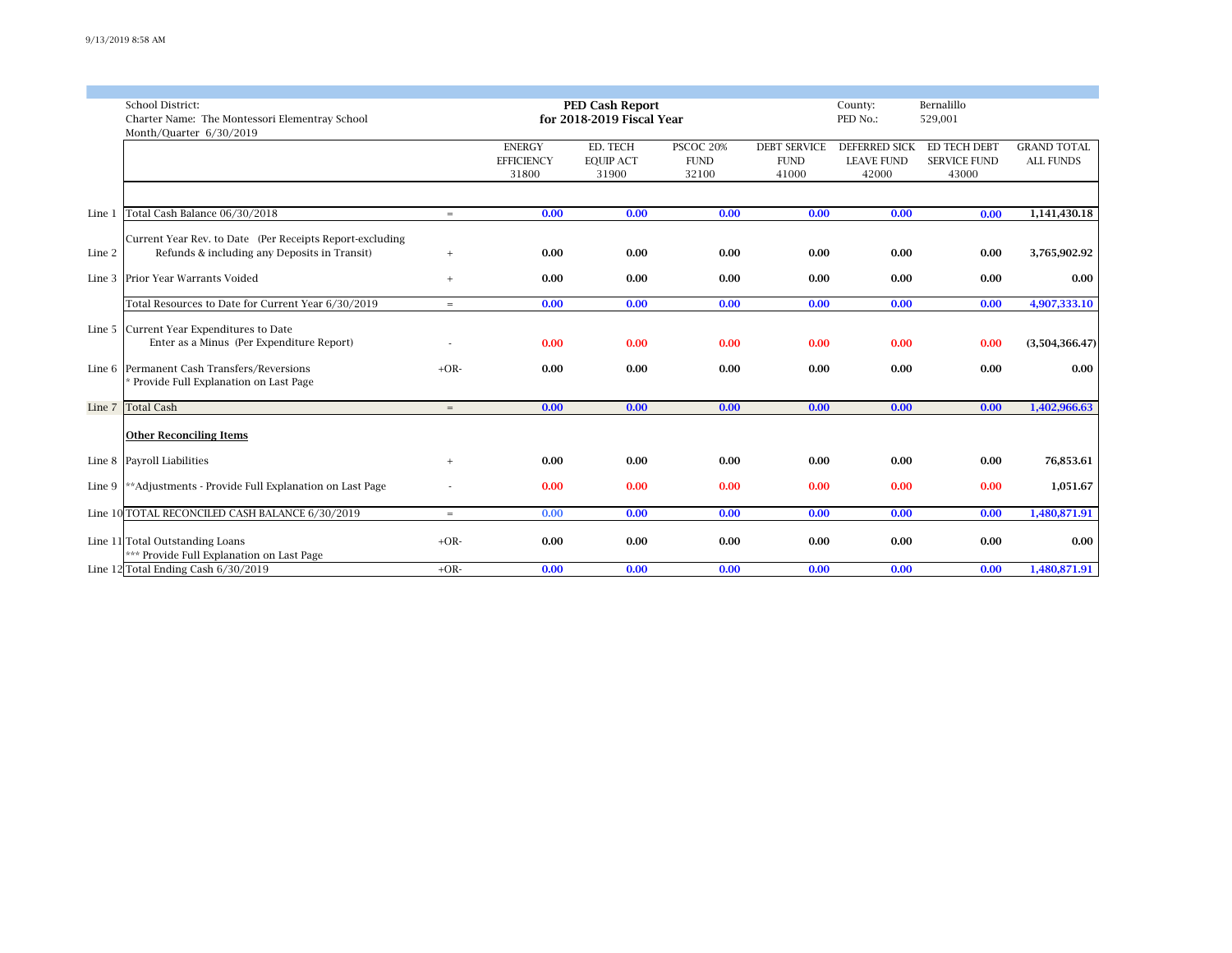|        | School District:                                         | PED Cash Report |                   |                           |             |                     |                      | Bernalillo          |                    |
|--------|----------------------------------------------------------|-----------------|-------------------|---------------------------|-------------|---------------------|----------------------|---------------------|--------------------|
|        | Charter Name: The Montessori Elementray School           |                 |                   | for 2018-2019 Fiscal Year |             |                     | PED No.:             | 529,001             |                    |
|        | Month/Quarter 6/30/2019                                  |                 |                   |                           |             |                     |                      |                     |                    |
|        |                                                          |                 | <b>ENERGY</b>     | ED. TECH                  | PSCOC 20%   | <b>DEBT SERVICE</b> | <b>DEFERRED SICK</b> | ED TECH DEBT        | <b>GRAND TOTAL</b> |
|        |                                                          |                 | <b>EFFICIENCY</b> | <b>EOUIP ACT</b>          | <b>FUND</b> | <b>FUND</b>         | <b>LEAVE FUND</b>    | <b>SERVICE FUND</b> | <b>ALL FUNDS</b>   |
|        |                                                          |                 | 31800             | 31900                     | 32100       | 41000               | 42000                | 43000               |                    |
|        |                                                          |                 |                   |                           |             |                     |                      |                     |                    |
|        |                                                          |                 |                   |                           |             |                     |                      |                     |                    |
| Line 1 | Total Cash Balance 06/30/2018                            | $=$             | 0.00              | 0.00                      | 0.00        | 0.00                | 0.00                 | 0.00                | 1,141,430.18       |
|        |                                                          |                 |                   |                           |             |                     |                      |                     |                    |
|        | Current Year Rev. to Date (Per Receipts Report-excluding |                 |                   |                           |             |                     |                      |                     |                    |
| Line 2 | Refunds & including any Deposits in Transit)             | $+$             | 0.00              | 0.00                      | 0.00        | 0.00                | 0.00                 | 0.00                | 3,765,902.92       |
|        |                                                          |                 |                   |                           |             |                     |                      |                     |                    |
| Line 3 | Prior Year Warrants Voided                               | $+$             | 0.00              | 0.00                      | 0.00        | 0.00                | 0.00                 | 0.00                | 0.00               |
|        |                                                          |                 |                   |                           |             |                     |                      |                     |                    |
|        | Total Resources to Date for Current Year 6/30/2019       | $=$             | 0.00              | 0.00                      | 0.00        | 0.00                | 0.00                 | 0.00                | 4,907,333.10       |
|        |                                                          |                 |                   |                           |             |                     |                      |                     |                    |
|        | Line 5 Current Year Expenditures to Date                 |                 |                   |                           |             |                     |                      |                     |                    |
|        | Enter as a Minus (Per Expenditure Report)                |                 | 0.00              | 0.00                      | 0.00        | 0.00                | 0.00                 | 0.00                | (3,504,366.47)     |
|        |                                                          |                 |                   |                           |             |                     |                      |                     |                    |
|        | Line 6 Permanent Cash Transfers/Reversions               | $+OR-$          | 0.00              | 0.00                      | 0.00        | 0.00                | 0.00                 | 0.00                | 0.00               |
|        | * Provide Full Explanation on Last Page                  |                 |                   |                           |             |                     |                      |                     |                    |
|        |                                                          |                 |                   |                           |             |                     |                      |                     |                    |
|        | Line 7 Total Cash                                        | $=$             | 0.00              | 0.00                      | 0.00        | 0.00                | 0.00                 | 0.00                | 1,402,966.63       |
|        |                                                          |                 |                   |                           |             |                     |                      |                     |                    |
|        | <b>Other Reconciling Items</b>                           |                 |                   |                           |             |                     |                      |                     |                    |
|        |                                                          |                 |                   |                           |             |                     |                      |                     |                    |
| Line 8 | Payroll Liabilities                                      | $+$             | 0.00              | 0.00                      | 0.00        | 0.00                | 0.00                 | 0.00                | 76,853.61          |
|        |                                                          |                 |                   |                           |             |                     |                      |                     |                    |
| Line 9 | **Adjustments - Provide Full Explanation on Last Page    |                 | 0.00              | 0.00                      | 0.00        | 0.00                | 0.00                 | 0.00                | 1,051.67           |
|        |                                                          |                 |                   |                           |             |                     |                      |                     |                    |
|        | Line 10 TOTAL RECONCILED CASH BALANCE 6/30/2019          | $=$             | 0.00              | 0.00                      | 0.00        | 0.00                | 0.00                 | 0.00                | 1,480,871.91       |
|        |                                                          |                 |                   |                           |             |                     |                      |                     |                    |
|        | Line 11 Total Outstanding Loans                          | $+OR-$          | 0.00              | 0.00                      | 0.00        | 0.00                | 0.00                 | 0.00                | 0.00               |
|        | *** Provide Full Explanation on Last Page                |                 |                   |                           |             |                     |                      |                     |                    |
|        | Line 12 Total Ending Cash 6/30/2019                      | $+OR-$          | 0.00              | 0.00                      | 0.00        | 0.00                | 0.00                 | 0.00                | 1.480.871.91       |